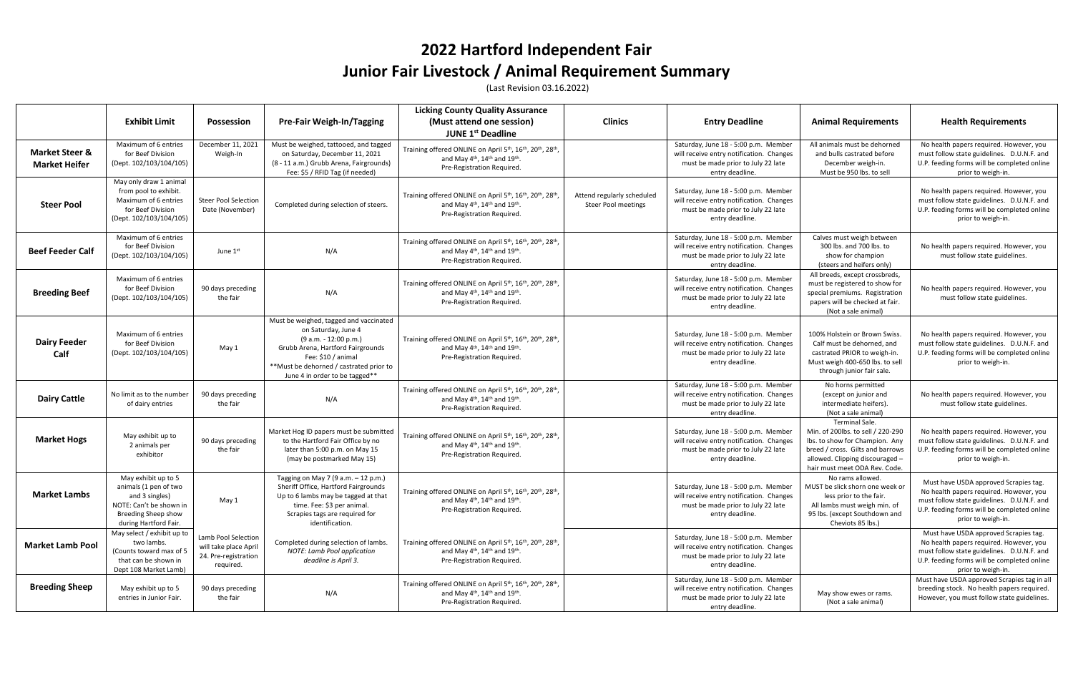## **2022 Hartford Independent Fair Junior Fair Livestock / Animal Requirement Summary**

(Last Revision 03.16.2022)

|                                                   | <b>Exhibit Limit</b>                                                                                                                      | <b>Possession</b>                                                                 | <b>Pre-Fair Weigh-In/Tagging</b>                                                                                                                                                                                               | <b>Licking County Quality Assurance</b><br>(Must attend one session)<br><b>JUNE 1st Deadline</b>                                                                                                               | <b>Clinics</b>                                           | <b>Entry Deadline</b>                                                                                                                     | <b>Animal Requirements</b>                                                                                                                                                                    | <b>Health Requirements</b>                                                                                                                                                                          |
|---------------------------------------------------|-------------------------------------------------------------------------------------------------------------------------------------------|-----------------------------------------------------------------------------------|--------------------------------------------------------------------------------------------------------------------------------------------------------------------------------------------------------------------------------|----------------------------------------------------------------------------------------------------------------------------------------------------------------------------------------------------------------|----------------------------------------------------------|-------------------------------------------------------------------------------------------------------------------------------------------|-----------------------------------------------------------------------------------------------------------------------------------------------------------------------------------------------|-----------------------------------------------------------------------------------------------------------------------------------------------------------------------------------------------------|
| <b>Market Steer &amp;</b><br><b>Market Heifer</b> | Maximum of 6 entries<br>for Beef Division<br>(Dept. 102/103/104/105)                                                                      | December 11, 2021<br>Weigh-In                                                     | Must be weighed, tattooed, and tagged<br>on Saturday, December 11, 2021<br>(8 - 11 a.m.) Grubb Arena, Fairgrounds)<br>Fee: \$5 / RFID Tag (if needed)                                                                          | Training offered ONLINE on April 5th, 16th, 20th, 28th<br>and May $4th$ , 14 <sup>th</sup> and 19 <sup>th</sup> .<br>Pre-Registration Required.                                                                |                                                          | Saturday, June 18 - 5:00 p.m. Member<br>will receive entry notification. Changes<br>must be made prior to July 22 late<br>entry deadline. | All animals must be dehorned<br>and bulls castrated before<br>December weigh-in.<br>Must be 950 lbs. to sell                                                                                  | No health papers required. However, you<br>must follow state guidelines. D.U.N.F. and<br>U.P. feeding forms will be completed online<br>prior to weigh-in.                                          |
| <b>Steer Pool</b>                                 | May only draw 1 animal<br>from pool to exhibit.<br>Maximum of 6 entries<br>for Beef Division<br>(Dept. 102/103/104/105)                   | <b>Steer Pool Selection</b><br>Date (November)                                    | Completed during selection of steers.                                                                                                                                                                                          | Training offered ONLINE on April 5 <sup>th</sup> , 16 <sup>th</sup> , 20 <sup>th</sup> , 28 <sup>th</sup><br>and May $4th$ , 14 <sup>th</sup> and 19 <sup>th</sup> .<br>Pre-Registration Required.             | Attend regularly scheduled<br><b>Steer Pool meetings</b> | Saturday, June 18 - 5:00 p.m. Member<br>will receive entry notification. Changes<br>must be made prior to July 22 late<br>entry deadline. |                                                                                                                                                                                               | No health papers required. However, you<br>must follow state guidelines. D.U.N.F. and<br>U.P. feeding forms will be completed online<br>prior to weigh-in.                                          |
| <b>Beef Feeder Calf</b>                           | Maximum of 6 entries<br>for Beef Division<br>(Dept. 102/103/104/105)                                                                      | June 1st                                                                          | N/A                                                                                                                                                                                                                            | Training offered ONLINE on April 5th, 16th, 20th, 28th<br>and May 4 <sup>th</sup> , 14 <sup>th</sup> and 19 <sup>th</sup> .<br>Pre-Registration Required.                                                      |                                                          | Saturday, June 18 - 5:00 p.m. Member<br>will receive entry notification. Changes<br>must be made prior to July 22 late<br>entry deadline. | Calves must weigh between<br>300 lbs. and 700 lbs. to<br>show for champion<br>(steers and heifers only)                                                                                       | No health papers required. However, you<br>must follow state guidelines.                                                                                                                            |
| <b>Breeding Beef</b>                              | Maximum of 6 entries<br>for Beef Division<br>(Dept. 102/103/104/105)                                                                      | 90 days preceding<br>the fair                                                     | N/A                                                                                                                                                                                                                            | Training offered ONLINE on April 5th, 16th, 20th, 28th,<br>and May $4th$ , 14 <sup>th</sup> and 19 <sup>th</sup> .<br>Pre-Registration Required.                                                               |                                                          | Saturday, June 18 - 5:00 p.m. Member<br>will receive entry notification. Changes<br>must be made prior to July 22 late<br>entry deadline. | All breeds, except crossbreds,<br>must be registered to show for<br>special premiums. Registration<br>papers will be checked at fair.<br>(Not a sale animal)                                  | No health papers required. However, you<br>must follow state guidelines.                                                                                                                            |
| <b>Dairy Feeder</b><br>Calf                       | Maximum of 6 entries<br>for Beef Division<br>(Dept. 102/103/104/105)                                                                      | May 1                                                                             | Must be weighed, tagged and vaccinated<br>on Saturday, June 4<br>(9 a.m. - 12:00 p.m.)<br>Grubb Arena, Hartford Fairgrounds<br>Fee: \$10 / animal<br>**Must be dehorned / castrated prior to<br>June 4 in order to be tagged** | Training offered ONLINE on April 5th, 16th, 20th, 28th,<br>and May 4 <sup>th</sup> , 14 <sup>th</sup> and 19 <sup>th</sup> .<br>Pre-Registration Required.                                                     |                                                          | Saturday, June 18 - 5:00 p.m. Member<br>will receive entry notification. Changes<br>must be made prior to July 22 late<br>entry deadline. | 100% Holstein or Brown Swiss.<br>Calf must be dehorned, and<br>castrated PRIOR to weigh-in.<br>Must weigh 400-650 lbs. to sell<br>through junior fair sale.                                   | No health papers required. However, you<br>must follow state guidelines. D.U.N.F. and<br>U.P. feeding forms will be completed online<br>prior to weigh-in.                                          |
| <b>Dairy Cattle</b>                               | No limit as to the number<br>of dairy entries                                                                                             | 90 days preceding<br>the fair                                                     | N/A                                                                                                                                                                                                                            | Training offered ONLINE on April 5th, 16th, 20th, 28th<br>and May $4th$ , 14 <sup>th</sup> and 19 <sup>th</sup> .<br>Pre-Registration Required.                                                                |                                                          | Saturday, June 18 - 5:00 p.m. Member<br>will receive entry notification. Changes<br>must be made prior to July 22 late<br>entry deadline. | No horns permitted<br>(except on junior and<br>intermediate heifers).<br>(Not a sale animal)                                                                                                  | No health papers required. However, you<br>must follow state guidelines.                                                                                                                            |
| <b>Market Hogs</b>                                | May exhibit up to<br>2 animals per<br>exhibitor                                                                                           | 90 days preceding<br>the fair                                                     | Market Hog ID papers must be submitted<br>to the Hartford Fair Office by no<br>later than 5:00 p.m. on May 15<br>(may be postmarked May 15)                                                                                    | Training offered ONLINE on April 5th, 16th, 20th, 28th,<br>and May 4 <sup>th</sup> , 14 <sup>th</sup> and 19 <sup>th</sup> .<br>Pre-Registration Required.                                                     |                                                          | Saturday, June 18 - 5:00 p.m. Member<br>will receive entry notification. Changes<br>must be made prior to July 22 late<br>entry deadline. | Terminal Sale.<br>Min. of 200lbs. to sell / 220-290<br>Ibs. to show for Champion. Any<br>breed / cross. Gilts and barrows<br>allowed. Clipping discouraged -<br>hair must meet ODA Rev. Code. | No health papers required. However, you<br>must follow state guidelines. D.U.N.F. and<br>U.P. feeding forms will be completed online<br>prior to weigh-in.                                          |
| <b>Market Lambs</b>                               | May exhibit up to 5<br>animals (1 pen of two<br>and 3 singles)<br>NOTE: Can't be shown in<br>Breeding Sheep show<br>during Hartford Fair. | May 1                                                                             | Tagging on May 7 (9 a.m. - 12 p.m.)<br>Sheriff Office, Hartford Fairgrounds<br>Up to 6 lambs may be tagged at that<br>time. Fee: \$3 per animal.<br>Scrapies tags are required for<br>identification.                          | Training offered ONLINE on April 5 <sup>th</sup> , 16 <sup>th</sup> , 20 <sup>th</sup> , 28 <sup>th</sup> ,<br>and May 4 <sup>th</sup> , 14 <sup>th</sup> and 19 <sup>th</sup> .<br>Pre-Registration Required. |                                                          | Saturday, June 18 - 5:00 p.m. Member<br>will receive entry notification. Changes<br>must be made prior to July 22 late<br>entry deadline. | No rams allowed.<br>MUST be slick shorn one week or<br>less prior to the fair.<br>All lambs must weigh min. of<br>95 lbs. (except Southdown and<br>Cheviots 85 lbs.)                          | Must have USDA approved Scrapies tag.<br>No health papers required. However, you<br>must follow state guidelines. D.U.N.F. and<br>U.P. feeding forms will be completed online<br>prior to weigh-in. |
| <b>Market Lamb Pool</b>                           | May select / exhibit up to<br>two lambs.<br>(Counts toward max of 5<br>that can be shown in<br>Dept 108 Market Lamb)                      | Lamb Pool Selection<br>will take place April<br>24. Pre-registration<br>required. | Completed during selection of lambs.<br>NOTE: Lamb Pool application<br>deadline is April 3.                                                                                                                                    | Training offered ONLINE on April 5th, 16th, 20th, 28th,<br>and May $4^{\text{th}}$ , 14 <sup>th</sup> and 19 <sup>th</sup> .<br>Pre-Registration Required.                                                     |                                                          | Saturday, June 18 - 5:00 p.m. Member<br>will receive entry notification. Changes<br>must be made prior to July 22 late<br>entry deadline. |                                                                                                                                                                                               | Must have USDA approved Scrapies tag.<br>No health papers required. However, you<br>must follow state guidelines. D.U.N.F. and<br>U.P. feeding forms will be completed online<br>prior to weigh-in. |
| <b>Breeding Sheep</b>                             | May exhibit up to 5<br>entries in Junior Fair.                                                                                            | 90 days preceding<br>the fair                                                     | N/A                                                                                                                                                                                                                            | Training offered ONLINE on April 5 <sup>th</sup> , 16 <sup>th</sup> , 20 <sup>th</sup> , 28 <sup>th</sup> ,<br>and May 4 <sup>th</sup> , 14 <sup>th</sup> and 19 <sup>th</sup> .<br>Pre-Registration Required. |                                                          | Saturday, June 18 - 5:00 p.m. Member<br>will receive entry notification. Changes<br>must be made prior to July 22 late<br>entry deadline. | May show ewes or rams.<br>(Not a sale animal)                                                                                                                                                 | Must have USDA approved Scrapies tag in all<br>breeding stock. No health papers required.<br>However, you must follow state guidelines.                                                             |